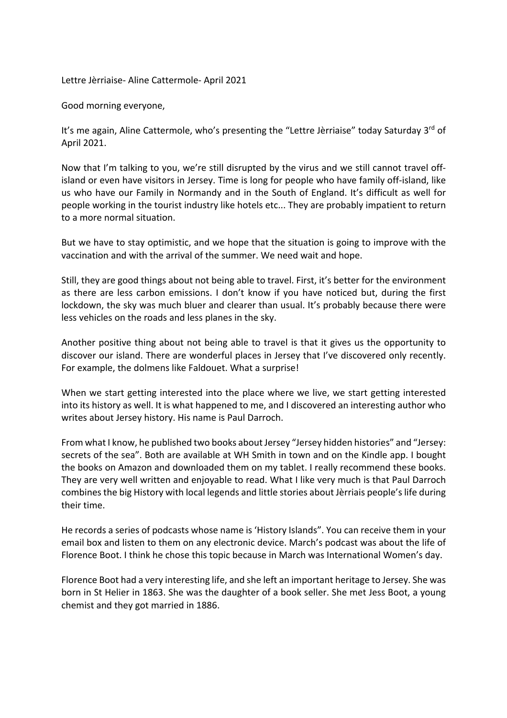Lettre Jèrriaise- Aline Cattermole- April 2021

Good morning everyone,

It's me again, Aline Cattermole, who's presenting the "Lettre Jèrriaise" today Saturday 3rd of April 2021.

Now that I'm talking to you, we're still disrupted by the virus and we still cannot travel offisland or even have visitors in Jersey. Time is long for people who have family off-island, like us who have our Family in Normandy and in the South of England. It's difficult as well for people working in the tourist industry like hotels etc... They are probably impatient to return to a more normal situation.

But we have to stay optimistic, and we hope that the situation is going to improve with the vaccination and with the arrival of the summer. We need wait and hope.

Still, they are good things about not being able to travel. First, it's better for the environment as there are less carbon emissions. I don't know if you have noticed but, during the first lockdown, the sky was much bluer and clearer than usual. It's probably because there were less vehicles on the roads and less planes in the sky.

Another positive thing about not being able to travel is that it gives us the opportunity to discover our island. There are wonderful places in Jersey that I've discovered only recently. For example, the dolmens like Faldouet. What a surprise!

When we start getting interested into the place where we live, we start getting interested into its history as well. It is what happened to me, and I discovered an interesting author who writes about Jersey history. His name is Paul Darroch.

From what I know, he published two books about Jersey "Jersey hidden histories" and "Jersey: secrets of the sea". Both are available at WH Smith in town and on the Kindle app. I bought the books on Amazon and downloaded them on my tablet. I really recommend these books. They are very well written and enjoyable to read. What I like very much is that Paul Darroch combinesthe big History with local legends and little stories about Jèrriais people's life during their time.

He records a series of podcasts whose name is 'History Islands". You can receive them in your email box and listen to them on any electronic device. March's podcast was about the life of Florence Boot. I think he chose this topic because in March was International Women's day.

Florence Boot had a very interesting life, and she left an important heritage to Jersey. She was born in St Helier in 1863. She was the daughter of a book seller. She met Jess Boot, a young chemist and they got married in 1886.